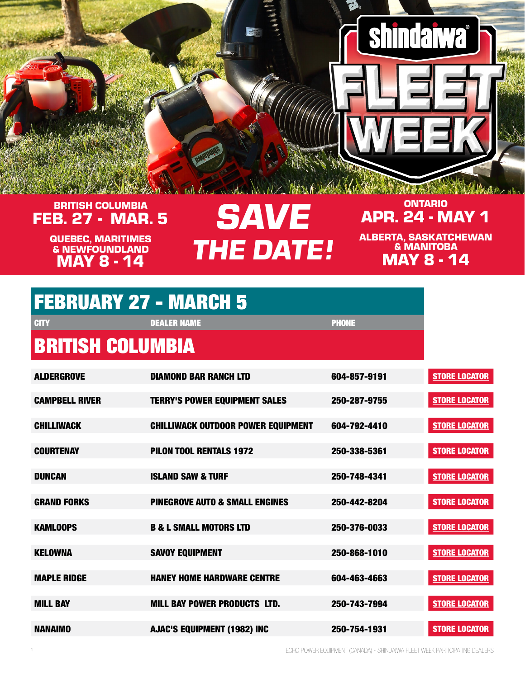#### FEB. 27 - MAR. 5 BRITISH COLUMBIA

MAY 8 - 14 QUEBEC, MARITIMES & NEWFOUNDLAND

## SAVE **THE DATE!**

#### APR. 24 - MAY 1 ONTARIO

**shindaiwa** 

MAY 8 - 14 ALBERTA, SASKATCHEWAN & MANITOBA

|  | <b>FEBRUARY 27 - MARCH 5</b> |
|--|------------------------------|
|  |                              |

| <b>CITY</b>             | <b>DEALER NAME</b>                        | <b>PHONE</b> |                      |
|-------------------------|-------------------------------------------|--------------|----------------------|
| <b>BRITISH COLUMBIA</b> |                                           |              |                      |
| <b>ALDERGROVE</b>       | <b>DIAMOND BAR RANCH LTD</b>              | 604-857-9191 | <b>STORE LOCATOR</b> |
| <b>CAMPBELL RIVER</b>   | <b>TERRY'S POWER EQUIPMENT SALES</b>      | 250-287-9755 | <b>STORE LOCATOR</b> |
| <b>CHILLIWACK</b>       | <b>CHILLIWACK OUTDOOR POWER EQUIPMENT</b> | 604-792-4410 | <b>STORE LOCATOR</b> |
| <b>COURTENAY</b>        | <b>PILON TOOL RENTALS 1972</b>            | 250-338-5361 | <b>STORE LOCATOR</b> |
| <b>DUNCAN</b>           | <b>ISLAND SAW &amp; TURF</b>              | 250-748-4341 | <b>STORE LOCATOR</b> |
| <b>GRAND FORKS</b>      | <b>PINEGROVE AUTO &amp; SMALL ENGINES</b> | 250-442-8204 | <b>STORE LOCATOR</b> |
| <b>KAMLOOPS</b>         | <b>B &amp; L SMALL MOTORS LTD</b>         | 250-376-0033 | <b>STORE LOCATOR</b> |
| <b>KELOWNA</b>          | <b>SAVOY EQUIPMENT</b>                    | 250-868-1010 | <b>STORE LOCATOR</b> |
| <b>MAPLE RIDGE</b>      | <b>HANEY HOME HARDWARE CENTRE</b>         | 604-463-4663 | <b>STORE LOCATOR</b> |
| <b>MILL BAY</b>         | <b>MILL BAY POWER PRODUCTS LTD.</b>       | 250-743-7994 | <b>STORE LOCATOR</b> |
|                         |                                           |              |                      |

NANAIMO AJAC'S EQUIPMENT (1982) INC 250-754-1931 [STORE LOCATOR](https://www.shindaiwa.ca/Dealer-Locator-NEW.aspx)

1 ECHO POWER EQUIPMENT (CANADA) - SHINDAIWA FLEET WEEK PARTICIPATING DEALERS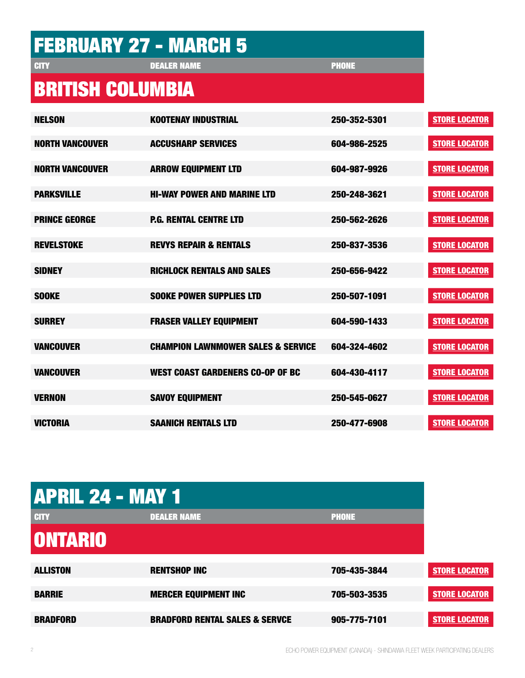|                         | <b>FEBRUARY 27 - MARCH 5</b>                  |              |                      |
|-------------------------|-----------------------------------------------|--------------|----------------------|
| <b>GITY</b>             | <b>DEALER NAME</b>                            | <b>PHONE</b> |                      |
| <b>BRITISH COLUMBIA</b> |                                               |              |                      |
| <b>NELSON</b>           | <b>KOOTENAY INDUSTRIAL</b>                    | 250-352-5301 | <b>STORE LOCATOR</b> |
| <b>NORTH VANCOUVER</b>  | <b>ACCUSHARP SERVICES</b>                     | 604-986-2525 | <b>STORE LOCATOR</b> |
| <b>NORTH VANCOUVER</b>  | <b>ARROW EQUIPMENT LTD</b>                    | 604-987-9926 | <b>STORE LOCATOR</b> |
| <b>PARKSVILLE</b>       | <b>HI-WAY POWER AND MARINE LTD</b>            | 250-248-3621 | <b>STORE LOCATOR</b> |
| <b>PRINCE GEORGE</b>    | <b>P.G. RENTAL CENTRE LTD</b>                 | 250-562-2626 | <b>STORE LOCATOR</b> |
| <b>REVELSTOKE</b>       | <b>REVYS REPAIR &amp; RENTALS</b>             | 250-837-3536 | <b>STORE LOCATOR</b> |
| <b>SIDNEY</b>           | <b>RICHLOCK RENTALS AND SALES</b>             | 250-656-9422 | <b>STORE LOCATOR</b> |
| <b>SOOKE</b>            | <b>SOOKE POWER SUPPLIES LTD</b>               | 250-507-1091 | <b>STORE LOCATOR</b> |
| <b>SURREY</b>           | <b>FRASER VALLEY EQUIPMENT</b>                | 604-590-1433 | <b>STORE LOCATOR</b> |
| <b>VANCOUVER</b>        | <b>CHAMPION LAWNMOWER SALES &amp; SERVICE</b> | 604-324-4602 | <b>STORE LOCATOR</b> |
| <b>VANCOUVER</b>        | <b>WEST COAST GARDENERS CO-OP OF BC</b>       | 604-430-4117 | <b>STORE LOCATOR</b> |
| <b>VERNON</b>           | <b>SAVOY EQUIPMENT</b>                        | 250-545-0627 | <b>STORE LOCATOR</b> |
| <b>VICTORIA</b>         | <b>SAANICH RENTALS LTD</b>                    | 250-477-6908 | <b>STORE LOCATOR</b> |

| <b>APRIL 24 - MAY 1</b> |                                           |              |                      |
|-------------------------|-------------------------------------------|--------------|----------------------|
| <b>CITY</b>             | <b>DEALER NAME</b>                        | <b>PHONE</b> |                      |
| <b>ONTARIO</b>          |                                           |              |                      |
| <b>ALLISTON</b>         | <b>RENTSHOP INC</b>                       | 705-435-3844 | <b>STORE LOCATOR</b> |
| <b>BARRIE</b>           | <b>MERCER EQUIPMENT INC</b>               | 705-503-3535 | <b>STORE LOCATOR</b> |
| <b>BRADFORD</b>         | <b>BRADFORD RENTAL SALES &amp; SERVCE</b> | 905-775-7101 | <b>STORE LOCATOR</b> |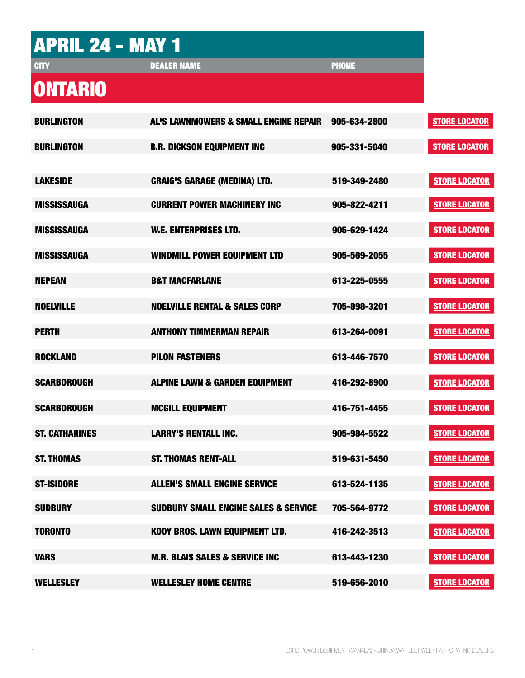# APRIL 24 - MAY 1

DEALER NAME **PHONE** 

### **ONTARIO**

| <b>BURLINGTON</b>     | AL'S LAWNMOWERS & SMALL ENGINE REPAIR           | 905-634-2800 | <b>STORE LOCATOR</b> |
|-----------------------|-------------------------------------------------|--------------|----------------------|
| <b>BURLINGTON</b>     | <b>B.R. DICKSON EQUIPMENT INC</b>               | 905-331-5040 | <b>STORE LOCATOR</b> |
| <b>LAKESIDE</b>       | <b>CRAIG'S GARAGE (MEDINA) LTD.</b>             | 519-349-2480 | <b>STORE LOCATOR</b> |
|                       |                                                 |              |                      |
| <b>MISSISSAUGA</b>    | <b>CURRENT POWER MACHINERY INC</b>              | 905-822-4211 | <b>STORE LOCATOR</b> |
| <b>MISSISSAUGA</b>    | <b>W.E. ENTERPRISES LTD.</b>                    | 905-629-1424 | <b>STORE LOCATOR</b> |
| <b>MISSISSAUGA</b>    | <b>WINDMILL POWER EQUIPMENT LTD</b>             | 905-569-2055 | <b>STORE LOCATOR</b> |
| <b>NEPEAN</b>         | <b>B&amp;T MACFARLANE</b>                       | 613-225-0555 | <b>STORE LOCATOR</b> |
| <b>NOELVILLE</b>      | <b>NOELVILLE RENTAL &amp; SALES CORP</b>        | 705-898-3201 | <b>STORE LOCATOR</b> |
| <b>PERTH</b>          | <b>ANTHONY TIMMERMAN REPAIR</b>                 | 613-264-0091 | <b>STORE LOCATOR</b> |
| <b>ROCKLAND</b>       | <b>PILON FASTENERS</b>                          | 613-446-7570 | <b>STORE LOCATOR</b> |
| <b>SCARBOROUGH</b>    | <b>ALPINE LAWN &amp; GARDEN EQUIPMENT</b>       | 416-292-8900 | <b>STORE LOCATOR</b> |
| <b>SCARBOROUGH</b>    | <b>MCGILL EQUIPMENT</b>                         | 416-751-4455 | <b>STORE LOCATOR</b> |
| <b>ST. CATHARINES</b> | <b>LARRY'S RENTALL INC.</b>                     | 905-984-5522 | <b>STORE LOCATOR</b> |
| <b>ST. THOMAS</b>     | <b>ST. THOMAS RENT-ALL</b>                      | 519-631-5450 | <b>STORE LOCATOR</b> |
| <b>ST-ISIDORE</b>     | <b>ALLEN'S SMALL ENGINE SERVICE</b>             | 613-524-1135 | <b>STORE LOCATOR</b> |
| <b>SUDBURY</b>        | <b>SUDBURY SMALL ENGINE SALES &amp; SERVICE</b> | 705-564-9772 | <b>STORE LOCATOR</b> |
| <b>TORONTO</b>        | KOOY BROS. LAWN EQUIPMENT LTD.                  | 416-242-3513 | <b>STORE LOCATOR</b> |
| <b>VARS</b>           | <b>M.R. BLAIS SALES &amp; SERVICE INC</b>       | 613-443-1230 | <b>STORE LOCATOR</b> |
| <b>WELLESLEY</b>      | <b>WELLESLEY HOME CENTRE</b>                    | 519-656-2010 | <b>STORE LOCATOR</b> |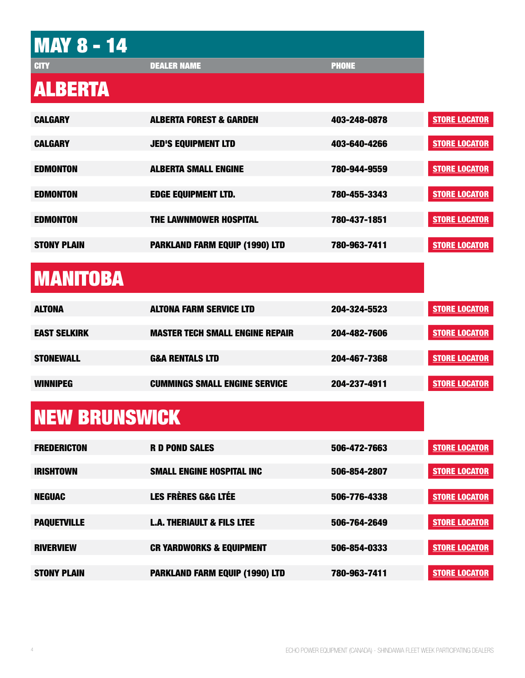| <b>MAY 8 - 14</b>    |                                        |              |
|----------------------|----------------------------------------|--------------|
| <b>CITY</b>          | <b>DEALER NAME</b>                     | <b>PHONE</b> |
| <b>ALBERTA</b>       |                                        |              |
| <b>CALGARY</b>       | <b>ALBERTA FOREST &amp; GARDEN</b>     | 403-248-0878 |
| <b>CALGARY</b>       | <b>JED'S EQUIPMENT LTD</b>             | 403-640-4266 |
| <b>EDMONTON</b>      | <b>ALBERTA SMALL ENGINE</b>            | 780-944-9559 |
| <b>EDMONTON</b>      | <b>EDGE EQUIPMENT LTD.</b>             | 780-455-3343 |
| <b>EDMONTON</b>      | THE LAWNMOWER HOSPITAL                 | 780-437-1851 |
| <b>STONY PLAIN</b>   | <b>PARKLAND FARM EQUIP (1990) LTD</b>  | 780-963-7411 |
| <b>MANITOBA</b>      |                                        |              |
| <b>ALTONA</b>        | <b>ALTONA FARM SERVICE LTD</b>         | 204-324-5523 |
| <b>EAST SELKIRK</b>  | <b>MASTER TECH SMALL ENGINE REPAIR</b> | 204-482-7606 |
| <b>STONEWALL</b>     | <b>G&amp;A RENTALS LTD</b>             | 204-467-7368 |
| <b>WINNIPEG</b>      | <b>CUMMINGS SMALL ENGINE SERVICE</b>   | 204-237-4911 |
| <b>NEW BRUNSWICK</b> |                                        |              |
| <b>FREDERICTON</b>   | <b>R D POND SALES</b>                  | 506-472-7663 |
| <b>IRISHTOWN</b>     | <b>SMALL ENGINE HOSPITAL INC</b>       | 506-854-2807 |
| <b>NEGUAC</b>        | <b>LES FRÈRES G&amp;G LTÉE</b>         | 506-776-4338 |
| <b>PAQUETVILLE</b>   | <b>L.A. THERIAULT &amp; FILS LTEE</b>  | 506-764-2649 |
| <b>RIVERVIEW</b>     | <b>CR YARDWORKS &amp; EQUIPMENT</b>    | 506-854-0333 |
| <b>STONY PLAIN</b>   | <b>PARKLAND FARM EQUIP (1990) LTD</b>  | 780-963-7411 |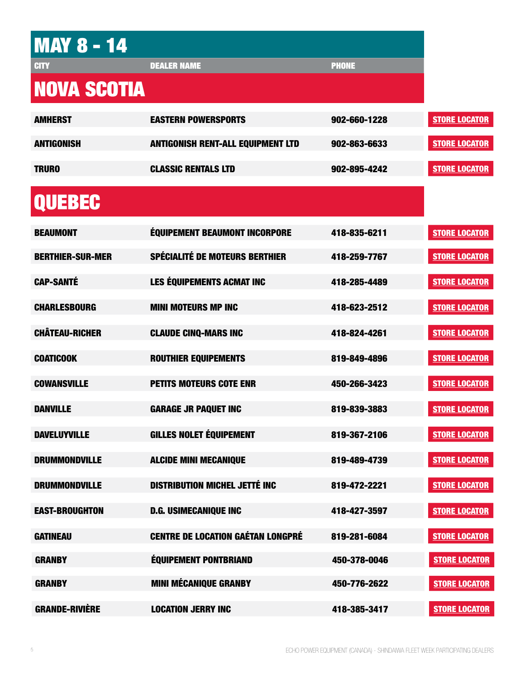| <b>MAY 8 - 14</b>       |                                          |              |
|-------------------------|------------------------------------------|--------------|
| <b>CITY</b>             | <b>DEALER NAME</b>                       | <b>PHONE</b> |
| <b>NOVA SCOTIA</b>      |                                          |              |
| <b>AMHERST</b>          | <b>EASTERN POWERSPORTS</b>               | 902-660-1228 |
| <b>ANTIGONISH</b>       | <b>ANTIGONISH RENT-ALL EQUIPMENT LTD</b> | 902-863-6633 |
| <b>TRURO</b>            | <b>CLASSIC RENTALS LTD</b>               | 902-895-4242 |
| <b>QUEBEC</b>           |                                          |              |
| <b>BEAUMONT</b>         | <b>ÉQUIPEMENT BEAUMONT INCORPORE</b>     | 418-835-6211 |
| <b>BERTHIER-SUR-MER</b> | <b>SPÉCIALITÉ DE MOTEURS BERTHIER</b>    | 418-259-7767 |
| <b>CAP-SANTÉ</b>        | <b>LES ÉQUIPEMENTS ACMAT INC</b>         | 418-285-4489 |
| <b>CHARLESBOURG</b>     | <b>MINI MOTEURS MP INC</b>               | 418-623-2512 |
| <b>CHÂTEAU-RICHER</b>   | <b>CLAUDE CINQ-MARS INC</b>              | 418-824-4261 |
| <b>COATICOOK</b>        | <b>ROUTHIER EQUIPEMENTS</b>              | 819-849-4896 |
| <b>COWANSVILLE</b>      | <b>PETITS MOTEURS COTE ENR</b>           | 450-266-3423 |
| DANVILLE                | <b>GARAGE JR PAQUET INC</b>              | 819-839-3883 |
| <b>DAVELUYVILLE</b>     | <b>GILLES NOLET ÉQUIPEMENT</b>           | 819-367-2106 |
| <b>DRUMMONDVILLE</b>    | <b>ALCIDE MINI MECANIQUE</b>             | 819-489-4739 |
| <b>DRUMMONDVILLE</b>    | <b>DISTRIBUTION MICHEL JETTÉ INC</b>     | 819-472-2221 |
| <b>EAST-BROUGHTON</b>   | <b>D.G. USIMECANIQUE INC</b>             | 418-427-3597 |
| <b>GATINEAU</b>         | <b>CENTRE DE LOCATION GAÉTAN LONGPRÉ</b> | 819-281-6084 |
| <b>GRANBY</b>           | <b>ÉQUIPEMENT PONTBRIAND</b>             | 450-378-0046 |
| <b>GRANBY</b>           | <b>MINI MÉCANIQUE GRANBY</b>             | 450-776-2622 |
| <b>GRANDE-RIVIÈRE</b>   | <b>LOCATION JERRY INC</b>                | 418-385-3417 |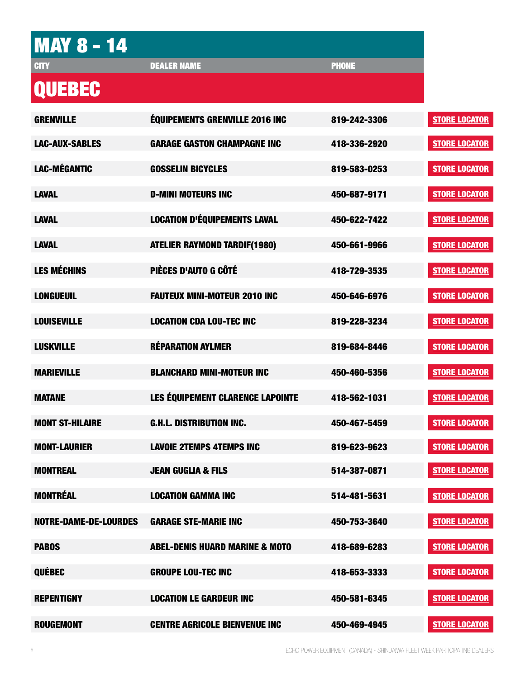# **MAY 8 - 14**

DEALER NAME **PHONE** 

### QUEBEC

| <b>GRENVILLE</b>             | <b>ÉQUIPEMENTS GRENVILLE 2016 INC</b>     | 819-242-3306 | <b>STORE LOCATOR</b> |
|------------------------------|-------------------------------------------|--------------|----------------------|
| <b>LAC-AUX-SABLES</b>        | <b>GARAGE GASTON CHAMPAGNE INC</b>        | 418-336-2920 | <b>STORE LOCATOR</b> |
| <b>LAC-MÉGANTIC</b>          | <b>GOSSELIN BICYCLES</b>                  | 819-583-0253 | <b>STORE LOCATOR</b> |
| <b>LAVAL</b>                 | <b>D-MINI MOTEURS INC</b>                 | 450-687-9171 | <b>STORE LOCATOR</b> |
| <b>LAVAL</b>                 | <b>LOCATION D'ÉQUIPEMENTS LAVAL</b>       | 450-622-7422 | <b>STORE LOCATOR</b> |
| <b>LAVAL</b>                 | <b>ATELIER RAYMOND TARDIF(1980)</b>       | 450-661-9966 | <b>STORE LOCATOR</b> |
| <b>LES MÉCHINS</b>           | PIÈCES D'AUTO G CÔTÉ                      | 418-729-3535 | <b>STORE LOCATOR</b> |
| <b>LONGUEUIL</b>             | <b>FAUTEUX MINI-MOTEUR 2010 INC</b>       | 450-646-6976 | <b>STORE LOCATOR</b> |
| <b>LOUISEVILLE</b>           | <b>LOCATION CDA LOU-TEC INC</b>           | 819-228-3234 | <b>STORE LOCATOR</b> |
| <b>LUSKVILLE</b>             | <b>RÉPARATION AYLMER</b>                  | 819-684-8446 | <b>STORE LOCATOR</b> |
| <b>MARIEVILLE</b>            | <b>BLANCHARD MINI-MOTEUR INC</b>          | 450-460-5356 | <b>STORE LOCATOR</b> |
| <b>MATANE</b>                | LES ÉQUIPEMENT CLARENCE LAPOINTE          | 418-562-1031 | <b>STORE LOCATOR</b> |
| <b>MONT ST-HILAIRE</b>       | <b>G.H.L. DISTRIBUTION INC.</b>           | 450-467-5459 | <b>STORE LOCATOR</b> |
| <b>MONT-LAURIER</b>          | <b>LAVOIE 2TEMPS 4TEMPS INC</b>           | 819-623-9623 | <b>STORE LOCATOR</b> |
| <b>MONTREAL</b>              | <b>JEAN GUGLIA &amp; FILS</b>             | 514-387-0871 | <b>STORE LOCATOR</b> |
| <b>MONTRÉAL</b>              | <b>LOCATION GAMMA INC</b>                 | 514-481-5631 | <b>STORE LOCATOR</b> |
| <b>NOTRE-DAME-DE-LOURDES</b> | <b>GARAGE STE-MARIE INC</b>               | 450-753-3640 | <b>STORE LOCATOR</b> |
| <b>PABOS</b>                 | <b>ABEL-DENIS HUARD MARINE &amp; MOTO</b> | 418-689-6283 | <b>STORE LOCATOR</b> |
| <b>QUÉBEC</b>                | <b>GROUPE LOU-TEC INC</b>                 | 418-653-3333 | <b>STORE LOCATOR</b> |
| <b>REPENTIGNY</b>            | <b>LOCATION LE GARDEUR INC</b>            | 450-581-6345 | <b>STORE LOCATOR</b> |
| <b>ROUGEMONT</b>             | <b>CENTRE AGRICOLE BIENVENUE INC</b>      | 450-469-4945 | <b>STORE LOCATOR</b> |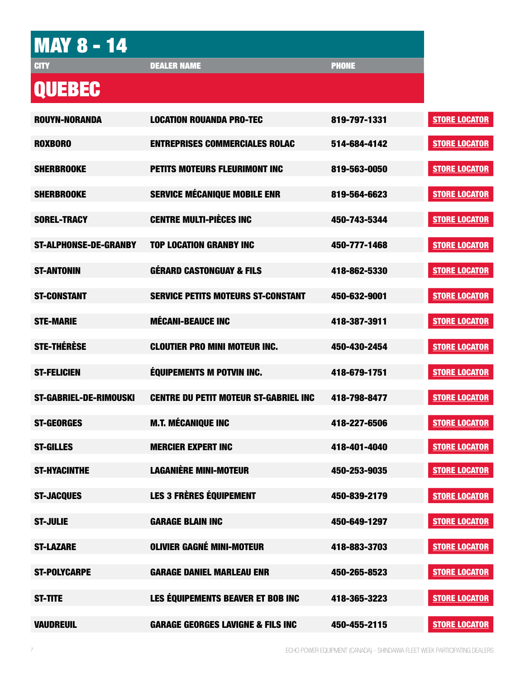| <b>MAY 8 - 14</b>             |                                              |              |                      |
|-------------------------------|----------------------------------------------|--------------|----------------------|
| <b>CITY</b>                   | <b>DEALER NAME</b>                           | <b>PHONE</b> |                      |
| <b>QUEBEC</b>                 |                                              |              |                      |
| <b>ROUYN-NORANDA</b>          | <b>LOCATION ROUANDA PRO-TEC</b>              | 819-797-1331 | <b>STORE LOCATOR</b> |
| <b>ROXBORO</b>                | <b>ENTREPRISES COMMERCIALES ROLAC</b>        | 514-684-4142 | <b>STORE LOCATOR</b> |
| <b>SHERBROOKE</b>             | <b>PETITS MOTEURS FLEURIMONT INC</b>         | 819-563-0050 | <b>STORE LOCATOR</b> |
| <b>SHERBROOKE</b>             | <b>SERVICE MÉCANIQUE MOBILE ENR</b>          | 819-564-6623 | <b>STORE LOCATOR</b> |
| <b>SOREL-TRACY</b>            | <b>CENTRE MULTI-PIÈCES INC</b>               | 450-743-5344 | <b>STORE LOCATOR</b> |
| <b>ST-ALPHONSE-DE-GRANBY</b>  | <b>TOP LOCATION GRANBY INC</b>               | 450-777-1468 | <b>STORE LOCATOR</b> |
| <b>ST-ANTONIN</b>             | <b>GÉRARD CASTONGUAY &amp; FILS</b>          | 418-862-5330 | <b>STORE LOCATOR</b> |
| <b>ST-CONSTANT</b>            | <b>SERVICE PETITS MOTEURS ST-CONSTANT</b>    | 450-632-9001 | <b>STORE LOCATOR</b> |
| <b>STE-MARIE</b>              | <b>MÉCANI-BEAUCE INC</b>                     | 418-387-3911 | <b>STORE LOCATOR</b> |
| <b>STE-THÉRÈSE</b>            | <b>CLOUTIER PRO MINI MOTEUR INC.</b>         | 450-430-2454 | <b>STORE LOCATOR</b> |
| <b>ST-FELICIEN</b>            | <b>ÉQUIPEMENTS M POTVIN INC.</b>             | 418-679-1751 | <b>STORE LOCATOR</b> |
| <b>ST-GABRIEL-DE-RIMOUSKI</b> | <b>CENTRE DU PETIT MOTEUR ST-GABRIEL INC</b> | 418-798-8477 | <b>STORE LOCATOR</b> |
| <b>ST-GEORGES</b>             | <b>M.T. MÉCANIQUE INC</b>                    | 418-227-6506 | <b>STORE LOCATOR</b> |
| <b>ST-GILLES</b>              | <b>MERCIER EXPERT INC</b>                    | 418-401-4040 | <b>STORE LOCATOR</b> |
| <b>ST-HYACINTHE</b>           | <b>LAGANIÈRE MINI-MOTEUR</b>                 | 450-253-9035 | <b>STORE LOCATOR</b> |
| <b>ST-JACQUES</b>             | <b>LES 3 FRÈRES ÉQUIPEMENT</b>               | 450-839-2179 | <b>STORE LOCATOR</b> |
| <b>ST-JULIE</b>               | <b>GARAGE BLAIN INC</b>                      | 450-649-1297 | <b>STORE LOCATOR</b> |
| <b>ST-LAZARE</b>              | <b>OLIVIER GAGNÉ MINI-MOTEUR</b>             | 418-883-3703 | <b>STORE LOCATOR</b> |
| <b>ST-POLYCARPE</b>           | <b>GARAGE DANIEL MARLEAU ENR</b>             | 450-265-8523 | <b>STORE LOCATOR</b> |
|                               |                                              |              |                      |
| <b>ST-TITE</b>                | LES ÉQUIPEMENTS BEAVER ET BOB INC            | 418-365-3223 | <b>STORE LOCATOR</b> |
| <b>VAUDREUIL</b>              | <b>GARAGE GEORGES LAVIGNE &amp; FILS INC</b> | 450-455-2115 | <b>STORE LOCATOR</b> |